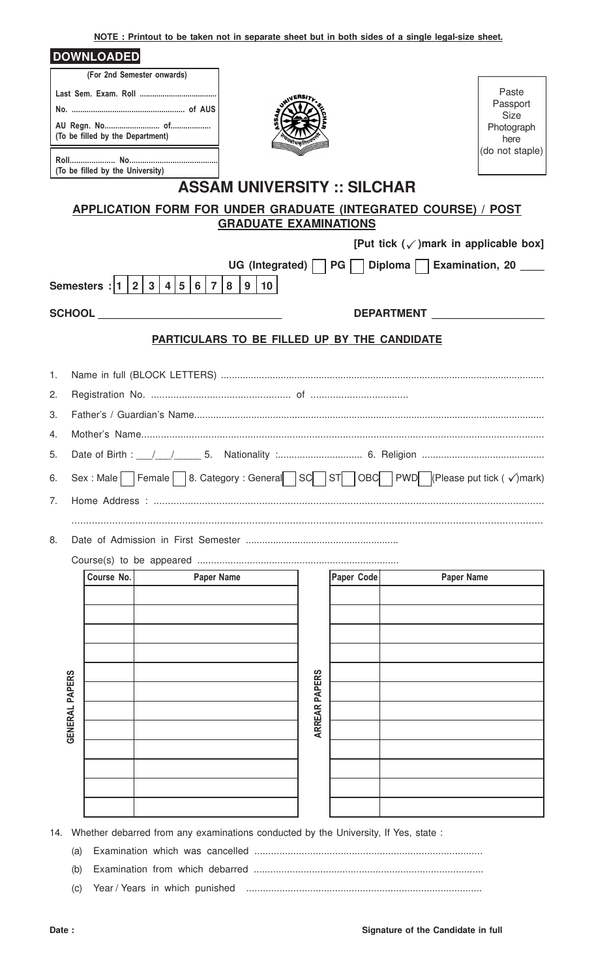**NOTE : Printout to be taken not in separate sheet but in both sides of a single legal-size sheet.**

|    |                | <b>DOWNLOADED</b>                |                                                                                                                                                                                                                                |                                              |                      |            |                   |                                                                                  |
|----|----------------|----------------------------------|--------------------------------------------------------------------------------------------------------------------------------------------------------------------------------------------------------------------------------|----------------------------------------------|----------------------|------------|-------------------|----------------------------------------------------------------------------------|
|    |                |                                  | (For 2nd Semester onwards)                                                                                                                                                                                                     |                                              |                      |            |                   |                                                                                  |
|    |                |                                  |                                                                                                                                                                                                                                | JNIVERSI)                                    |                      |            |                   | Paste                                                                            |
|    |                |                                  |                                                                                                                                                                                                                                |                                              |                      |            |                   | Passport<br><b>Size</b>                                                          |
|    |                | (To be filled by the Department) |                                                                                                                                                                                                                                |                                              |                      |            |                   | Photograph<br>here                                                               |
|    |                | (To be filled by the University) |                                                                                                                                                                                                                                |                                              |                      |            |                   | (do not staple)                                                                  |
|    |                |                                  |                                                                                                                                                                                                                                | <b>ASSAM UNIVERSITY :: SILCHAR</b>           |                      |            |                   |                                                                                  |
|    |                |                                  | APPLICATION FORM FOR UNDER GRADUATE (INTEGRATED COURSE) / POST                                                                                                                                                                 |                                              |                      |            |                   |                                                                                  |
|    |                |                                  |                                                                                                                                                                                                                                | <b>GRADUATE EXAMINATIONS</b>                 |                      |            |                   |                                                                                  |
|    |                |                                  |                                                                                                                                                                                                                                |                                              |                      |            |                   | [Put tick $(\checkmark)$ ] mark in applicable box]                               |
|    |                |                                  |                                                                                                                                                                                                                                |                                              |                      |            |                   | UG (Integrated)     PG     Diploma     Examination, 20                           |
|    |                | Semesters : $ 1 2 3 $            | 4 5 6 7                                                                                                                                                                                                                        | 8<br>9<br>10                                 |                      |            |                   |                                                                                  |
|    |                |                                  | SCHOOL AND RESIDENCE IN THE SCHOOL AND RESIDENCE IN THE STATE OF THE STATE OF THE STATE OF THE STATE OF THE STATE OF THE STATE OF THE STATE OF THE STATE OF THE STATE OF THE STATE OF THE STATE OF THE STATE OF THE STATE OF T |                                              |                      |            | <b>DEPARTMENT</b> |                                                                                  |
|    |                |                                  |                                                                                                                                                                                                                                | PARTICULARS TO BE FILLED UP BY THE CANDIDATE |                      |            |                   |                                                                                  |
| 1. |                |                                  |                                                                                                                                                                                                                                |                                              |                      |            |                   |                                                                                  |
| 2. |                |                                  |                                                                                                                                                                                                                                |                                              |                      |            |                   |                                                                                  |
| 3. |                |                                  |                                                                                                                                                                                                                                |                                              |                      |            |                   |                                                                                  |
| 4. |                |                                  |                                                                                                                                                                                                                                |                                              |                      |            |                   |                                                                                  |
| 5. |                |                                  |                                                                                                                                                                                                                                |                                              |                      |            |                   |                                                                                  |
| 6. |                |                                  |                                                                                                                                                                                                                                |                                              |                      |            |                   | Sex : Male Female 8. Category : General SC ST OBC PWD (Please put tick ( √)mark) |
| 7. |                |                                  |                                                                                                                                                                                                                                |                                              |                      |            |                   |                                                                                  |
|    |                |                                  |                                                                                                                                                                                                                                |                                              |                      |            |                   |                                                                                  |
| 8. |                |                                  |                                                                                                                                                                                                                                |                                              |                      |            |                   |                                                                                  |
|    |                | Course No.                       | <b>Paper Name</b>                                                                                                                                                                                                              |                                              |                      | Paper Code |                   | <b>Paper Name</b>                                                                |
|    |                |                                  |                                                                                                                                                                                                                                |                                              |                      |            |                   |                                                                                  |
|    |                |                                  |                                                                                                                                                                                                                                |                                              |                      |            |                   |                                                                                  |
|    |                |                                  |                                                                                                                                                                                                                                |                                              |                      |            |                   |                                                                                  |
|    |                |                                  |                                                                                                                                                                                                                                |                                              |                      |            |                   |                                                                                  |
|    |                |                                  |                                                                                                                                                                                                                                |                                              |                      |            |                   |                                                                                  |
|    |                |                                  |                                                                                                                                                                                                                                |                                              |                      |            |                   |                                                                                  |
|    |                |                                  |                                                                                                                                                                                                                                |                                              |                      |            |                   |                                                                                  |
|    |                |                                  |                                                                                                                                                                                                                                |                                              | <b>ARREAR PAPERS</b> |            |                   |                                                                                  |
|    | GENERAL PAPERS |                                  |                                                                                                                                                                                                                                |                                              |                      |            |                   |                                                                                  |
|    |                |                                  |                                                                                                                                                                                                                                |                                              |                      |            |                   |                                                                                  |
|    |                |                                  |                                                                                                                                                                                                                                |                                              |                      |            |                   |                                                                                  |
|    |                |                                  |                                                                                                                                                                                                                                |                                              |                      |            |                   |                                                                                  |
|    |                |                                  |                                                                                                                                                                                                                                |                                              |                      |            |                   |                                                                                  |
|    |                |                                  | 14. Whether debarred from any examinations conducted by the University, If Yes, state :                                                                                                                                        |                                              |                      |            |                   |                                                                                  |
|    | (a)            |                                  |                                                                                                                                                                                                                                |                                              |                      |            |                   |                                                                                  |
|    |                |                                  |                                                                                                                                                                                                                                |                                              |                      |            |                   |                                                                                  |

(b) Examination from which debarred ................................................................................... (c) Year / Years in which punished .....................................................................................